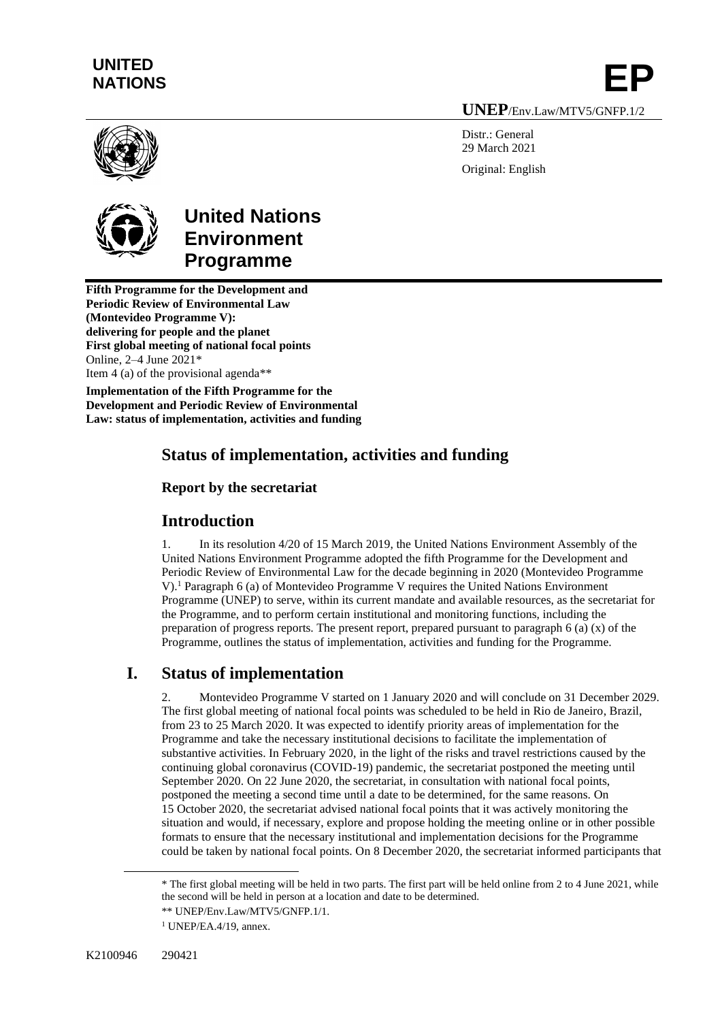## **UNITED NATIONS**

**UNEP**/Env.Law/MTV5/GNFP.1/2

**EP**

Distr · General 29 March 2021 Original: English





# **United Nations Environment Programme**

**Fifth Programme for the Development and Periodic Review of Environmental Law (Montevideo Programme V): delivering for people and the planet First global meeting of national focal points** Online, 2–4 June 2021\* Item 4 (a) of the provisional agenda\*\*

**Implementation of the Fifth Programme for the Development and Periodic Review of Environmental Law: status of implementation, activities and funding** 

## **Status of implementation, activities and funding**

#### **Report by the secretariat**

## **Introduction**

1. In its resolution 4/20 of 15 March 2019, the United Nations Environment Assembly of the United Nations Environment Programme adopted the fifth Programme for the Development and Periodic Review of Environmental Law for the decade beginning in 2020 (Montevideo Programme V).<sup>1</sup> Paragraph 6 (a) of Montevideo Programme V requires the United Nations Environment Programme (UNEP) to serve, within its current mandate and available resources, as the secretariat for the Programme, and to perform certain institutional and monitoring functions, including the preparation of progress reports. The present report, prepared pursuant to paragraph 6 (a) (x) of the Programme, outlines the status of implementation, activities and funding for the Programme.

## **I. Status of implementation**

2. Montevideo Programme V started on 1 January 2020 and will conclude on 31 December 2029. The first global meeting of national focal points was scheduled to be held in Rio de Janeiro, Brazil, from 23 to 25 March 2020. It was expected to identify priority areas of implementation for the Programme and take the necessary institutional decisions to facilitate the implementation of substantive activities. In February 2020, in the light of the risks and travel restrictions caused by the continuing global coronavirus (COVID-19) pandemic, the secretariat postponed the meeting until September 2020. On 22 June 2020, the secretariat, in consultation with national focal points, postponed the meeting a second time until a date to be determined, for the same reasons. On 15 October 2020, the secretariat advised national focal points that it was actively monitoring the situation and would, if necessary, explore and propose holding the meeting online or in other possible formats to ensure that the necessary institutional and implementation decisions for the Programme could be taken by national focal points. On 8 December 2020, the secretariat informed participants that

<sup>\*</sup> The first global meeting will be held in two parts. The first part will be held online from 2 to 4 June 2021, while the second will be held in person at a location and date to be determined.

<sup>\*\*</sup> UNEP/Env.Law/MTV5/GNFP.1/1.

 $1$  UNEP/EA.4/19, annex.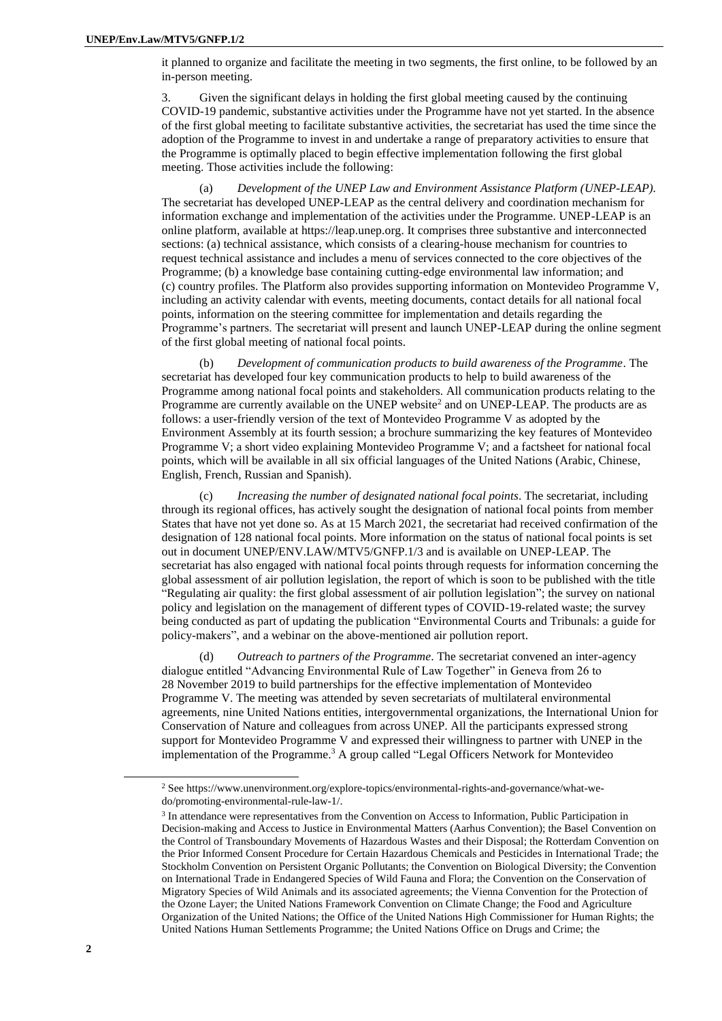it planned to organize and facilitate the meeting in two segments, the first online, to be followed by an in-person meeting.

3. Given the significant delays in holding the first global meeting caused by the continuing COVID-19 pandemic, substantive activities under the Programme have not yet started. In the absence of the first global meeting to facilitate substantive activities, the secretariat has used the time since the adoption of the Programme to invest in and undertake a range of preparatory activities to ensure that the Programme is optimally placed to begin effective implementation following the first global meeting. Those activities include the following:

Development of the UNEP Law and Environment Assistance Platform (UNEP-LEAP). The secretariat has developed UNEP-LEAP as the central delivery and coordination mechanism for information exchange and implementation of the activities under the Programme. UNEP-LEAP is an online platform, available a[t https://leap.unep.org.](https://leap.unep.org/) It comprises three substantive and interconnected sections: (a) technical assistance, which consists of a clearing-house mechanism for countries to request technical assistance and includes a menu of services connected to the core objectives of the Programme; (b) a knowledge base containing cutting-edge environmental law information; and (c) country profiles. The Platform also provides supporting information on Montevideo Programme V, including an activity calendar with events, meeting documents, contact details for all national focal points, information on the steering committee for implementation and details regarding the Programme's partners. The secretariat will present and launch UNEP-LEAP during the online segment of the first global meeting of national focal points.

(b) *Development of communication products to build awareness of the Programme*. The secretariat has developed four key communication products to help to build awareness of the Programme among national focal points and stakeholders. All communication products relating to the Programme are currently available on th[e UNEP website](https://www.unenvironment.org/explore-topics/environmental-rights-and-governance/what-we-do/promoting-environmental-rule-law-1/) $2$  and on UNEP-LEAP. The products are as follows: a user-friendly version of the text of Montevideo Programme V as adopted by the Environment Assembly at its fourth session; a brochure summarizing the key features of Montevideo Programme V; a short video explaining Montevideo Programme V; and a factsheet for national focal points, which will be available in all six official languages of the United Nations (Arabic, Chinese, English, French, Russian and Spanish).

(c) *Increasing the number of designated national focal points*. The secretariat, including through its regional offices, has actively sought the designation of national focal points from member States that have not yet done so. As at 15 March 2021, the secretariat had received confirmation of the designation of 128 national focal points. More information on the status of national focal points is set out in document UNEP/ENV.LAW/MTV5/GNFP.1/3 and is available on UNEP-LEAP. The secretariat has also engaged with national focal points through requests for information concerning the global assessment of air pollution legislation, the report of which is soon to be published with the title "Regulating air quality: the first global assessment of air pollution legislation"; the survey on national policy and legislation on the management of different types of COVID-19-related waste; the survey being conducted as part of updating the publication "Environmental Courts and Tribunals: a guide for policy-makers", and a webinar on the above-mentioned air pollution report.

(d) *Outreach to partners of the Programme*. The secretariat convened an inter-agency dialogue entitled "Advancing Environmental Rule of Law Together" in Geneva from 26 to 28 November 2019 to build partnerships for the effective implementation of Montevideo Programme V. The meeting was attended by seven secretariats of multilateral environmental agreements, nine United Nations entities, intergovernmental organizations, the International Union for Conservation of Nature and colleagues from across UNEP. All the participants expressed strong support for Montevideo Programme V and expressed their willingness to partner with UNEP in the implementation of the Programme.<sup>3</sup> A group called "Legal Officers Network for Montevideo

<sup>2</sup> Se[e https://www.unenvironment.org/explore-topics/environmental-rights-and-governance/what-we](https://www.unenvironment.org/explore-topics/environmental-rights-and-governance/what-we-do/promoting-environmental-rule-law-1/)[do/promoting-environmental-rule-law-1/.](https://www.unenvironment.org/explore-topics/environmental-rights-and-governance/what-we-do/promoting-environmental-rule-law-1/)

<sup>&</sup>lt;sup>3</sup> In attendance were representatives from the Convention on Access to Information, Public Participation in Decision-making and Access to Justice in Environmental Matters (Aarhus Convention); the Basel Convention on the Control of Transboundary Movements of Hazardous Wastes and their Disposal; the Rotterdam Convention on the Prior Informed Consent Procedure for Certain Hazardous Chemicals and Pesticides in International Trade; the Stockholm Convention on Persistent Organic Pollutants; the Convention on Biological Diversity; the Convention on International Trade in Endangered Species of Wild Fauna and Flora; the Convention on the Conservation of Migratory Species of Wild Animals and its associated agreements; the Vienna Convention for the Protection of the Ozone Layer; the United Nations Framework Convention on Climate Change; the Food and Agriculture Organization of the United Nations; the Office of the United Nations High Commissioner for Human Rights; the United Nations Human Settlements Programme; the United Nations Office on Drugs and Crime; the